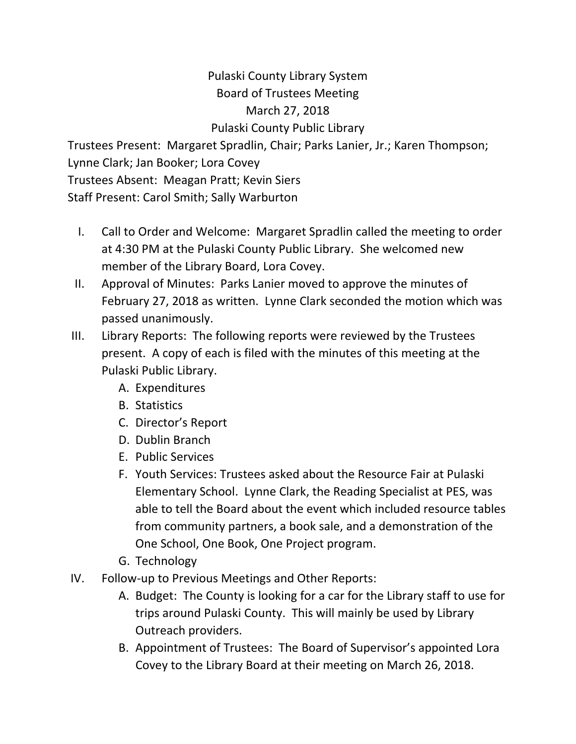Pulaski County Library System Board of Trustees Meeting March 27, 2018 Pulaski County Public Library

Trustees Present: Margaret Spradlin, Chair; Parks Lanier, Jr.; Karen Thompson; Lynne Clark; Jan Booker; Lora Covey Trustees Absent: Meagan Pratt; Kevin Siers Staff Present: Carol Smith; Sally Warburton

- I. Call to Order and Welcome: Margaret Spradlin called the meeting to order at 4:30 PM at the Pulaski County Public Library. She welcomed new member of the Library Board, Lora Covey.
- II. Approval of Minutes: Parks Lanier moved to approve the minutes of February 27, 2018 as written. Lynne Clark seconded the motion which was passed unanimously.
- III. Library Reports: The following reports were reviewed by the Trustees present. A copy of each is filed with the minutes of this meeting at the Pulaski Public Library.
	- A. Expenditures
	- B. Statistics
	- C. Director's Report
	- D. Dublin Branch
	- E. Public Services
	- F. Youth Services: Trustees asked about the Resource Fair at Pulaski Elementary School. Lynne Clark, the Reading Specialist at PES, was able to tell the Board about the event which included resource tables from community partners, a book sale, and a demonstration of the One School, One Book, One Project program.
	- G. Technology
- IV. Follow‐up to Previous Meetings and Other Reports:
	- A. Budget: The County is looking for a car for the Library staff to use for trips around Pulaski County. This will mainly be used by Library Outreach providers.
	- B. Appointment of Trustees: The Board of Supervisor's appointed Lora Covey to the Library Board at their meeting on March 26, 2018.